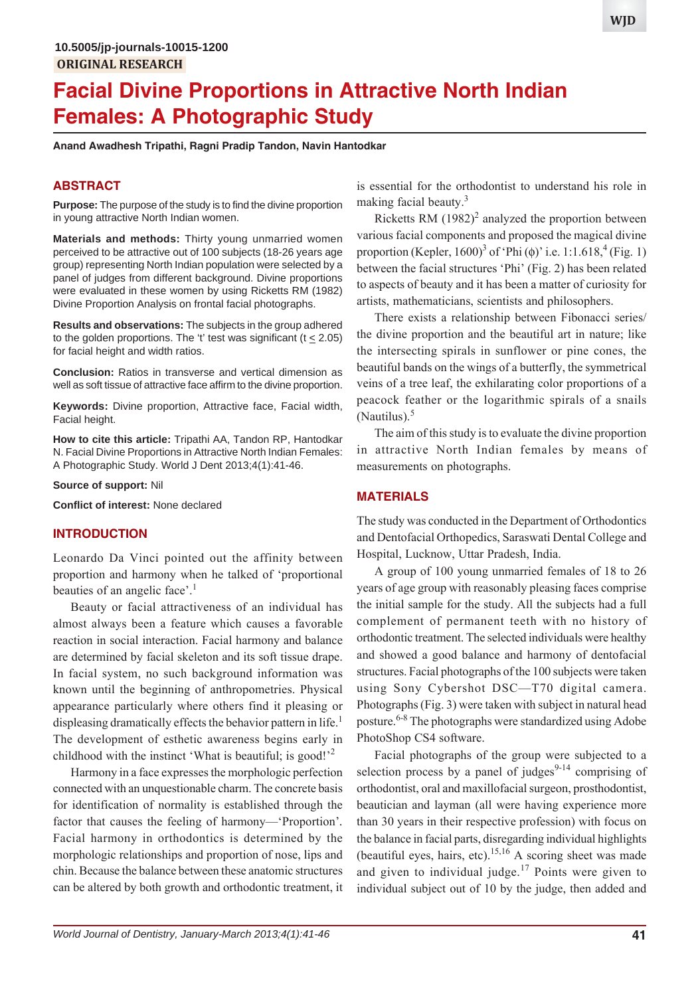# **Facial Divine Proportions in Attractive North Indian Females: A Photographic Study**

**Anand Awadhesh Tripathi, Ragni Pradip Tandon, Navin Hantodkar**

#### **ABSTRACT**

**Purpose:** The purpose of the study is to find the divine proportion in young attractive North Indian women.

**Materials and methods:** Thirty young unmarried women perceived to be attractive out of 100 subjects (18-26 years age group) representing North Indian population were selected by a panel of judges from different background. Divine proportions were evaluated in these women by using Ricketts RM (1982) Divine Proportion Analysis on frontal facial photographs.

**Results and observations:** The subjects in the group adhered to the golden proportions. The 't' test was significant (t  $\leq$  2.05) for facial height and width ratios.

**Conclusion:** Ratios in transverse and vertical dimension as well as soft tissue of attractive face affirm to the divine proportion.

**Keywords:** Divine proportion, Attractive face, Facial width, Facial height.

**How to cite this article:** Tripathi AA, Tandon RP, Hantodkar N. Facial Divine Proportions in Attractive North Indian Females: A Photographic Study. World J Dent 2013;4(1):41-46.

**Source of support:** Nil

**Conflict of interest:** None declared

#### **INTRODUCTION**

Leonardo Da Vinci pointed out the affinity between proportion and harmony when he talked of 'proportional beauties of an angelic face'.<sup>1</sup>

Beauty or facial attractiveness of an individual has almost always been a feature which causes a favorable reaction in social interaction. Facial harmony and balance are determined by facial skeleton and its soft tissue drape. In facial system, no such background information was known until the beginning of anthropometries. Physical appearance particularly where others find it pleasing or displeasing dramatically effects the behavior pattern in life.<sup>1</sup> The development of esthetic awareness begins early in childhood with the instinct 'What is beautiful; is good!<sup>2</sup>

Harmony in a face expresses the morphologic perfection connected with an unquestionable charm. The concrete basis for identification of normality is established through the factor that causes the feeling of harmony—'Proportion'*.* Facial harmony in orthodontics is determined by the morphologic relationships and proportion of nose, lips and chin. Because the balance between these anatomic structures can be altered by both growth and orthodontic treatment, it

is essential for the orthodontist to understand his role in making facial beauty.<sup>3</sup>

Ricketts RM  $(1982)^2$  analyzed the proportion between various facial components and proposed the magical divine proportion (Kepler, 1600)<sup>3</sup> of 'Phi ( $\phi$ )' i.e. 1:1.618,<sup>4</sup> (Fig. 1) between the facial structures 'Phi' (Fig. 2) has been related to aspects of beauty and it has been a matter of curiosity for artists, mathematicians, scientists and philosophers.

There exists a relationship between Fibonacci series/ the divine proportion and the beautiful art in nature; like the intersecting spirals in sunflower or pine cones, the beautiful bands on the wings of a butterfly, the symmetrical veins of a tree leaf, the exhilarating color proportions of a peacock feather or the logarithmic spirals of a snails (Nautilus). $5$ 

The aim of this study is to evaluate the divine proportion in attractive North Indian females by means of measurements on photographs.

#### **MATERIALS**

The study was conducted in the Department of Orthodontics and Dentofacial Orthopedics, Saraswati Dental College and Hospital, Lucknow, Uttar Pradesh, India.

A group of 100 young unmarried females of 18 to 26 years of age group with reasonably pleasing faces comprise the initial sample for the study. All the subjects had a full complement of permanent teeth with no history of orthodontic treatment. The selected individuals were healthy and showed a good balance and harmony of dentofacial structures. Facial photographs of the 100 subjects were taken using Sony Cybershot DSC—T70 digital camera. Photographs (Fig. 3) were taken with subject in natural head posture.<sup>6-8</sup> The photographs were standardized using Adobe PhotoShop CS4 software.

Facial photographs of the group were subjected to a selection process by a panel of judges<sup>9-14</sup> comprising of orthodontist, oral and maxillofacial surgeon, prosthodontist, beautician and layman (all were having experience more than 30 years in their respective profession) with focus on the balance in facial parts, disregarding individual highlights (beautiful eyes, hairs, etc).<sup>15,16</sup> A scoring sheet was made and given to individual judge. $17$  Points were given to individual subject out of 10 by the judge, then added and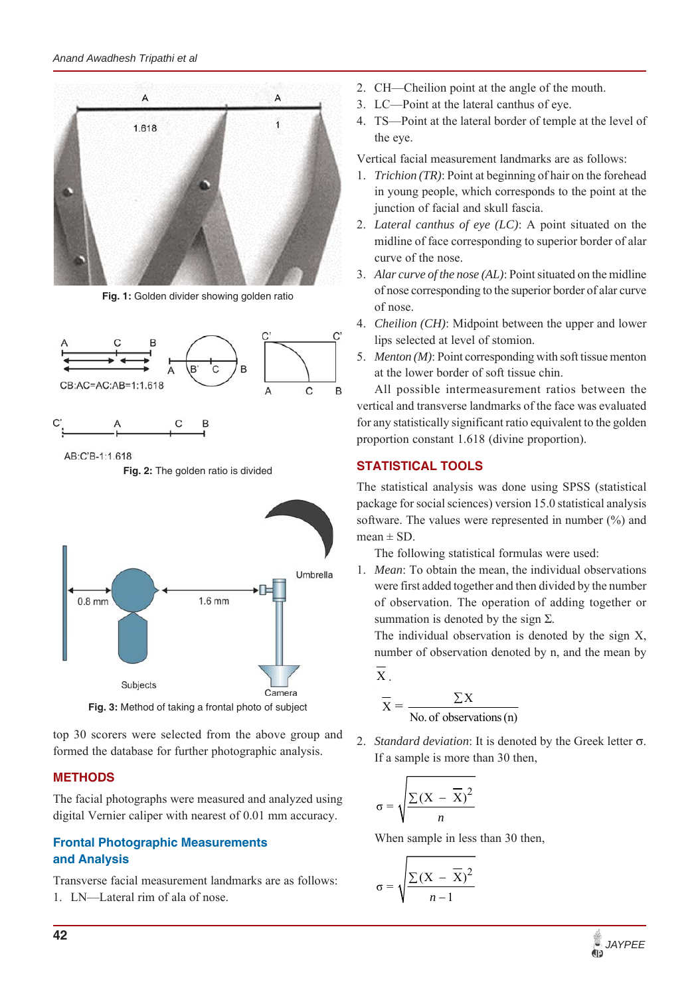*Anand Awadhesh Tripathi et al*



**Fig. 1:** Golden divider showing golden ratio



AB:C'B-1:1.618

**Fig. 2:** The golden ratio is divided



**Fig. 3:** Method of taking a frontal photo of subject

top 30 scorers were selected from the above group and formed the database for further photographic analysis.

## **METHODS**

The facial photographs were measured and analyzed using digital Vernier caliper with nearest of 0.01 mm accuracy.

## **Frontal Photographic Measurements and Analysis**

Transverse facial measurement landmarks are as follows: 1. LN—Lateral rim of ala of nose.

- 2. CH—Cheilion point at the angle of the mouth.
- 3. LC—Point at the lateral canthus of eye.
- 4. TS—Point at the lateral border of temple at the level of the eye.

Vertical facial measurement landmarks are as follows:

- 1. *Trichion (TR)*: Point at beginning of hair on the forehead in young people, which corresponds to the point at the junction of facial and skull fascia.
- 2. *Lateral canthus of eye (LC)*: A point situated on the midline of face corresponding to superior border of alar curve of the nose.
- 3. *Alar curve of the nose (AL)*: Point situated on the midline of nose corresponding to the superior border of alar curve of nose.
- 4. *Cheilion (CH)*: Midpoint between the upper and lower lips selected at level of stomion.
- 5. *Menton (M)*: Point corresponding with soft tissue menton at the lower border of soft tissue chin.

All possible intermeasurement ratios between the vertical and transverse landmarks of the face was evaluated for any statistically significant ratio equivalent to the golden proportion constant 1.618 (divine proportion).

# **STATISTICAL TOOLS**

The statistical analysis was done using SPSS (statistical package for social sciences) version 15.0 statistical analysis software. The values were represented in number (%) and  $mean \pm SD$ .

The following statistical formulas were used:

1. *Mean*: To obtain the mean, the individual observations were first added together and then divided by the number of observation. The operation of adding together or summation is denoted by the sign  $\Sigma$ .

The individual observation is denoted by the sign X, number of observation denoted by n, and the mean by

X  

$$
\overline{X} = \frac{\sum X}{\text{No. of observations (n)}}
$$

2. *Standard deviation*: It is denoted by the Greek letter  $\sigma$ . If a sample is more than 30 then,

$$
\sigma = \sqrt{\frac{\sum (X - \overline{X})^2}{n}}
$$

When sample in less than 30 then,

$$
\sigma = \sqrt{\frac{\sum (X - \overline{X})^2}{n-1}}
$$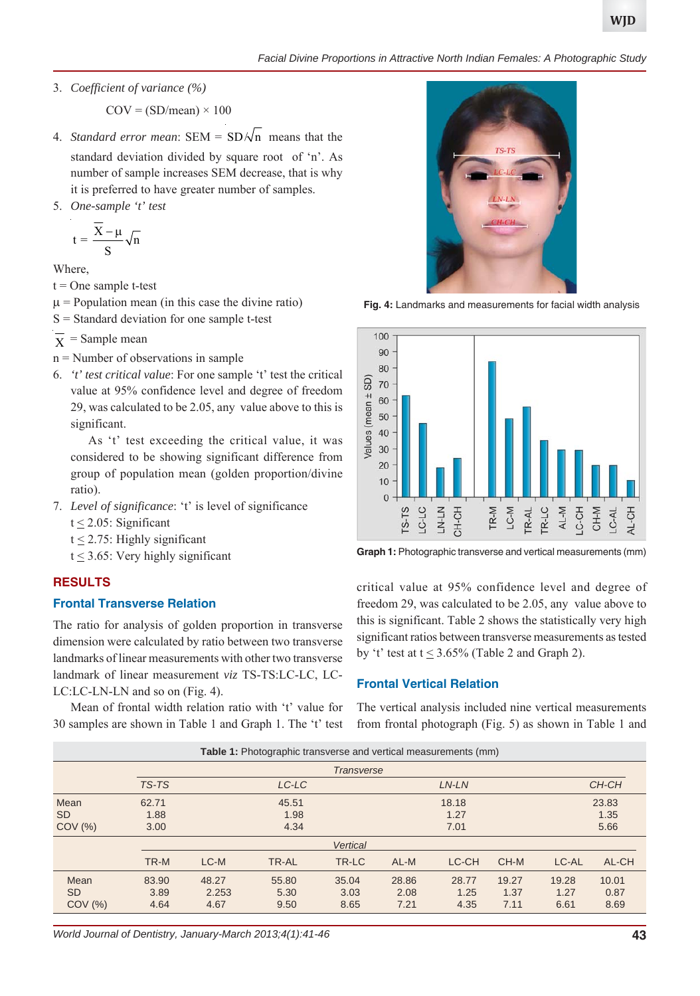3. *Coefficient of variance (%)*

 $COV = (SD/mean) \times 100$ 

- 4. *Standard error mean*: SEM =  $SD/\sqrt{n}$  means that the standard deviation divided by square root of 'n'. As number of sample increases SEM decrease, that is why it is preferred to have greater number of samples.
- 5. *One-sample 't' test*

$$
t = \frac{\overline{X} - \mu}{S} \sqrt{n}
$$

Where,

 $t = One$  sample t-test

- $\mu$  = Population mean (in this case the divine ratio)
- S = Standard deviation for one sample t-test

 $\overline{X}$  = Sample mean

- n = Number of observations in sample
- 6. *'t' test critical value*: For one sample 't' test the critical value at 95% confidence level and degree of freedom 29, was calculated to be 2.05, any value above to this is significant.

As 't' test exceeding the critical value, it was considered to be showing significant difference from group of population mean (golden proportion/divine ratio).

7. *Level of significance*: 't' is level of significance

 $t \leq 2.05$ : Significant

- $t \leq 2.75$ : Highly significant
- $t \leq 3.65$ : Very highly significant

#### **RESULTS**

#### **Frontal Transverse Relation**

The ratio for analysis of golden proportion in transverse dimension were calculated by ratio between two transverse landmarks of linear measurements with other two transverse landmark of linear measurement *viz* TS-TS:LC-LC, LC-LC:LC-LN-LN and so on (Fig. 4).

Mean of frontal width relation ratio with 't' value for 30 samples are shown in Table 1 and Graph 1. The 't' test



**Fig. 4:** Landmarks and measurements for facial width analysis



**Graph 1:** Photographic transverse and vertical measurements (mm)

critical value at 95% confidence level and degree of freedom 29, was calculated to be 2.05, any value above to this is significant. Table 2 shows the statistically very high significant ratios between transverse measurements as tested by 't' test at  $t \leq 3.65\%$  (Table 2 and Graph 2).

#### **Frontal Vertical Relation**

The vertical analysis included nine vertical measurements from frontal photograph (Fig. 5) as shown in Table 1 and

| Table 1: Photographic transverse and vertical measurements (mm) |                   |       |       |       |       |       |       |       |       |
|-----------------------------------------------------------------|-------------------|-------|-------|-------|-------|-------|-------|-------|-------|
|                                                                 | <b>Transverse</b> |       |       |       |       |       |       |       |       |
|                                                                 | TS-TS             | LC-LC |       | LN-LN |       |       | CH-CH |       |       |
| Mean                                                            | 62.71             |       | 45.51 |       |       | 18.18 |       |       | 23.83 |
| SD.                                                             | 1.88              | 1.98  |       |       | 1.27  |       |       | 1.35  |       |
| $COV$ $(\%)$                                                    | 3.00              | 4.34  |       |       | 7.01  |       |       | 5.66  |       |
|                                                                 | <b>Vertical</b>   |       |       |       |       |       |       |       |       |
|                                                                 | TR-M              | LC-M  | TR-AL | TR-LC | AL-M  | LC-CH | CH-M  | LC-AL | AL-CH |
| Mean                                                            | 83.90             | 48.27 | 55.80 | 35.04 | 28.86 | 28.77 | 19.27 | 19.28 | 10.01 |
| <b>SD</b>                                                       | 3.89              | 2.253 | 5.30  | 3.03  | 2.08  | 1.25  | 1.37  | 1.27  | 0.87  |
| $COV$ $(\%)$                                                    | 4.64              | 4.67  | 9.50  | 8.65  | 7.21  | 4.35  | 7.11  | 6.61  | 8.69  |

*World Journal of Dentistry, January-March 2013;4(1):41-46* **43**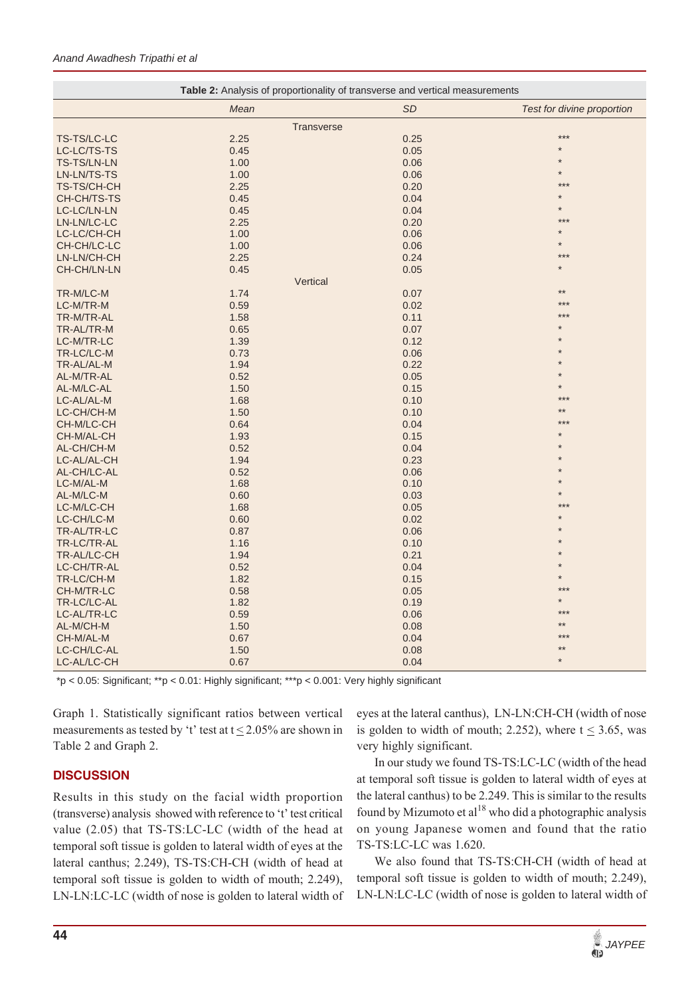| <b>SD</b><br>Mean<br>Test for divine proportion<br><b>Transverse</b><br>$***$<br>TS-TS/LC-LC<br>2.25<br>0.25<br>0.45<br>0.05<br>LC-LC/TS-TS<br>1.00<br>TS-TS/LN-LN<br>0.06<br>1.00<br>LN-LN/TS-TS<br>0.06<br>***<br>2.25<br>0.20<br>TS-TS/CH-CH<br>0.45<br>0.04<br>CH-CH/TS-TS<br>0.45<br>0.04<br>LC-LC/LN-LN<br>2.25<br>0.20<br>LN-LN/LC-LC<br>1.00<br>0.06<br>LC-LC/CH-CH<br>1.00<br>CH-CH/LC-LC<br>0.06<br>***<br>2.25<br>0.24<br>LN-LN/CH-CH<br>0.45<br>0.05<br>CH-CH/LN-LN<br>Vertical<br>$**$<br>TR-M/LC-M<br>1.74<br>0.07<br>$***$<br>0.59<br>0.02<br>LC-M/TR-M<br>TR-M/TR-AL<br>1.58<br>0.11<br>TR-AL/TR-M<br>0.65<br>0.07<br>LC-M/TR-LC<br>1.39<br>0.12<br>TR-LC/LC-M<br>0.73<br>0.06<br>TR-AL/AL-M<br>1.94<br>0.22<br>0.52<br>0.05<br>AL-M/TR-AL<br>AL-M/LC-AL<br>1.50<br>0.15<br>$***$<br>LC-AL/AL-M<br>1.68<br>0.10<br>LC-CH/CH-M<br>1.50<br>0.10<br>CH-M/LC-CH<br>0.64<br>0.04<br>1.93<br>0.15<br>CH-M/AL-CH<br>0.52<br>0.04<br>AL-CH/CH-M<br>1.94<br>0.23<br>LC-AL/AL-CH<br>0.52<br>0.06<br>AL-CH/LC-AL<br>1.68<br>LC-M/AL-M<br>0.10<br>0.60<br>AL-M/LC-M<br>0.03<br>***<br>LC-M/LC-CH<br>1.68<br>0.05<br>LC-CH/LC-M<br>0.60<br>0.02<br>TR-AL/TR-LC<br>0.87<br>0.06<br>1.16<br>0.10<br>TR-LC/TR-AL<br>1.94<br>0.21<br>TR-AL/LC-CH<br>0.52<br>0.04<br>LC-CH/TR-AL<br>1.82<br>TR-LC/CH-M<br>0.15<br>$***$<br>CH-M/TR-LC<br>0.58<br>0.05<br>TR-LC/LC-AL<br>1.82<br>0.19<br>LC-AL/TR-LC<br>0.59<br>0.06<br>1.50<br>0.08<br>AL-M/CH-M<br>0.67<br>0.04<br>CH-M/AL-M<br>1.50<br>LC-CH/LC-AL<br>0.08<br>$\star$<br>LC-AL/LC-CH<br>0.67<br>0.04 | <b>Table 2:</b> Analysis of proportionality of transverse and vertical measurements |  |  |  |  |  |  |  |
|------------------------------------------------------------------------------------------------------------------------------------------------------------------------------------------------------------------------------------------------------------------------------------------------------------------------------------------------------------------------------------------------------------------------------------------------------------------------------------------------------------------------------------------------------------------------------------------------------------------------------------------------------------------------------------------------------------------------------------------------------------------------------------------------------------------------------------------------------------------------------------------------------------------------------------------------------------------------------------------------------------------------------------------------------------------------------------------------------------------------------------------------------------------------------------------------------------------------------------------------------------------------------------------------------------------------------------------------------------------------------------------------------------------------------------------------------------------------------------------------------------------------------------------------------|-------------------------------------------------------------------------------------|--|--|--|--|--|--|--|
|                                                                                                                                                                                                                                                                                                                                                                                                                                                                                                                                                                                                                                                                                                                                                                                                                                                                                                                                                                                                                                                                                                                                                                                                                                                                                                                                                                                                                                                                                                                                                      |                                                                                     |  |  |  |  |  |  |  |
|                                                                                                                                                                                                                                                                                                                                                                                                                                                                                                                                                                                                                                                                                                                                                                                                                                                                                                                                                                                                                                                                                                                                                                                                                                                                                                                                                                                                                                                                                                                                                      |                                                                                     |  |  |  |  |  |  |  |
|                                                                                                                                                                                                                                                                                                                                                                                                                                                                                                                                                                                                                                                                                                                                                                                                                                                                                                                                                                                                                                                                                                                                                                                                                                                                                                                                                                                                                                                                                                                                                      |                                                                                     |  |  |  |  |  |  |  |
|                                                                                                                                                                                                                                                                                                                                                                                                                                                                                                                                                                                                                                                                                                                                                                                                                                                                                                                                                                                                                                                                                                                                                                                                                                                                                                                                                                                                                                                                                                                                                      |                                                                                     |  |  |  |  |  |  |  |
|                                                                                                                                                                                                                                                                                                                                                                                                                                                                                                                                                                                                                                                                                                                                                                                                                                                                                                                                                                                                                                                                                                                                                                                                                                                                                                                                                                                                                                                                                                                                                      |                                                                                     |  |  |  |  |  |  |  |
|                                                                                                                                                                                                                                                                                                                                                                                                                                                                                                                                                                                                                                                                                                                                                                                                                                                                                                                                                                                                                                                                                                                                                                                                                                                                                                                                                                                                                                                                                                                                                      |                                                                                     |  |  |  |  |  |  |  |
|                                                                                                                                                                                                                                                                                                                                                                                                                                                                                                                                                                                                                                                                                                                                                                                                                                                                                                                                                                                                                                                                                                                                                                                                                                                                                                                                                                                                                                                                                                                                                      |                                                                                     |  |  |  |  |  |  |  |
|                                                                                                                                                                                                                                                                                                                                                                                                                                                                                                                                                                                                                                                                                                                                                                                                                                                                                                                                                                                                                                                                                                                                                                                                                                                                                                                                                                                                                                                                                                                                                      |                                                                                     |  |  |  |  |  |  |  |
|                                                                                                                                                                                                                                                                                                                                                                                                                                                                                                                                                                                                                                                                                                                                                                                                                                                                                                                                                                                                                                                                                                                                                                                                                                                                                                                                                                                                                                                                                                                                                      |                                                                                     |  |  |  |  |  |  |  |
|                                                                                                                                                                                                                                                                                                                                                                                                                                                                                                                                                                                                                                                                                                                                                                                                                                                                                                                                                                                                                                                                                                                                                                                                                                                                                                                                                                                                                                                                                                                                                      |                                                                                     |  |  |  |  |  |  |  |
|                                                                                                                                                                                                                                                                                                                                                                                                                                                                                                                                                                                                                                                                                                                                                                                                                                                                                                                                                                                                                                                                                                                                                                                                                                                                                                                                                                                                                                                                                                                                                      |                                                                                     |  |  |  |  |  |  |  |
|                                                                                                                                                                                                                                                                                                                                                                                                                                                                                                                                                                                                                                                                                                                                                                                                                                                                                                                                                                                                                                                                                                                                                                                                                                                                                                                                                                                                                                                                                                                                                      |                                                                                     |  |  |  |  |  |  |  |
|                                                                                                                                                                                                                                                                                                                                                                                                                                                                                                                                                                                                                                                                                                                                                                                                                                                                                                                                                                                                                                                                                                                                                                                                                                                                                                                                                                                                                                                                                                                                                      |                                                                                     |  |  |  |  |  |  |  |
|                                                                                                                                                                                                                                                                                                                                                                                                                                                                                                                                                                                                                                                                                                                                                                                                                                                                                                                                                                                                                                                                                                                                                                                                                                                                                                                                                                                                                                                                                                                                                      |                                                                                     |  |  |  |  |  |  |  |
|                                                                                                                                                                                                                                                                                                                                                                                                                                                                                                                                                                                                                                                                                                                                                                                                                                                                                                                                                                                                                                                                                                                                                                                                                                                                                                                                                                                                                                                                                                                                                      |                                                                                     |  |  |  |  |  |  |  |
|                                                                                                                                                                                                                                                                                                                                                                                                                                                                                                                                                                                                                                                                                                                                                                                                                                                                                                                                                                                                                                                                                                                                                                                                                                                                                                                                                                                                                                                                                                                                                      |                                                                                     |  |  |  |  |  |  |  |
|                                                                                                                                                                                                                                                                                                                                                                                                                                                                                                                                                                                                                                                                                                                                                                                                                                                                                                                                                                                                                                                                                                                                                                                                                                                                                                                                                                                                                                                                                                                                                      |                                                                                     |  |  |  |  |  |  |  |
|                                                                                                                                                                                                                                                                                                                                                                                                                                                                                                                                                                                                                                                                                                                                                                                                                                                                                                                                                                                                                                                                                                                                                                                                                                                                                                                                                                                                                                                                                                                                                      |                                                                                     |  |  |  |  |  |  |  |
|                                                                                                                                                                                                                                                                                                                                                                                                                                                                                                                                                                                                                                                                                                                                                                                                                                                                                                                                                                                                                                                                                                                                                                                                                                                                                                                                                                                                                                                                                                                                                      |                                                                                     |  |  |  |  |  |  |  |
|                                                                                                                                                                                                                                                                                                                                                                                                                                                                                                                                                                                                                                                                                                                                                                                                                                                                                                                                                                                                                                                                                                                                                                                                                                                                                                                                                                                                                                                                                                                                                      |                                                                                     |  |  |  |  |  |  |  |
|                                                                                                                                                                                                                                                                                                                                                                                                                                                                                                                                                                                                                                                                                                                                                                                                                                                                                                                                                                                                                                                                                                                                                                                                                                                                                                                                                                                                                                                                                                                                                      |                                                                                     |  |  |  |  |  |  |  |
|                                                                                                                                                                                                                                                                                                                                                                                                                                                                                                                                                                                                                                                                                                                                                                                                                                                                                                                                                                                                                                                                                                                                                                                                                                                                                                                                                                                                                                                                                                                                                      |                                                                                     |  |  |  |  |  |  |  |
|                                                                                                                                                                                                                                                                                                                                                                                                                                                                                                                                                                                                                                                                                                                                                                                                                                                                                                                                                                                                                                                                                                                                                                                                                                                                                                                                                                                                                                                                                                                                                      |                                                                                     |  |  |  |  |  |  |  |
|                                                                                                                                                                                                                                                                                                                                                                                                                                                                                                                                                                                                                                                                                                                                                                                                                                                                                                                                                                                                                                                                                                                                                                                                                                                                                                                                                                                                                                                                                                                                                      |                                                                                     |  |  |  |  |  |  |  |
|                                                                                                                                                                                                                                                                                                                                                                                                                                                                                                                                                                                                                                                                                                                                                                                                                                                                                                                                                                                                                                                                                                                                                                                                                                                                                                                                                                                                                                                                                                                                                      |                                                                                     |  |  |  |  |  |  |  |
|                                                                                                                                                                                                                                                                                                                                                                                                                                                                                                                                                                                                                                                                                                                                                                                                                                                                                                                                                                                                                                                                                                                                                                                                                                                                                                                                                                                                                                                                                                                                                      |                                                                                     |  |  |  |  |  |  |  |
|                                                                                                                                                                                                                                                                                                                                                                                                                                                                                                                                                                                                                                                                                                                                                                                                                                                                                                                                                                                                                                                                                                                                                                                                                                                                                                                                                                                                                                                                                                                                                      |                                                                                     |  |  |  |  |  |  |  |
|                                                                                                                                                                                                                                                                                                                                                                                                                                                                                                                                                                                                                                                                                                                                                                                                                                                                                                                                                                                                                                                                                                                                                                                                                                                                                                                                                                                                                                                                                                                                                      |                                                                                     |  |  |  |  |  |  |  |
|                                                                                                                                                                                                                                                                                                                                                                                                                                                                                                                                                                                                                                                                                                                                                                                                                                                                                                                                                                                                                                                                                                                                                                                                                                                                                                                                                                                                                                                                                                                                                      |                                                                                     |  |  |  |  |  |  |  |
|                                                                                                                                                                                                                                                                                                                                                                                                                                                                                                                                                                                                                                                                                                                                                                                                                                                                                                                                                                                                                                                                                                                                                                                                                                                                                                                                                                                                                                                                                                                                                      |                                                                                     |  |  |  |  |  |  |  |
|                                                                                                                                                                                                                                                                                                                                                                                                                                                                                                                                                                                                                                                                                                                                                                                                                                                                                                                                                                                                                                                                                                                                                                                                                                                                                                                                                                                                                                                                                                                                                      |                                                                                     |  |  |  |  |  |  |  |
|                                                                                                                                                                                                                                                                                                                                                                                                                                                                                                                                                                                                                                                                                                                                                                                                                                                                                                                                                                                                                                                                                                                                                                                                                                                                                                                                                                                                                                                                                                                                                      |                                                                                     |  |  |  |  |  |  |  |
|                                                                                                                                                                                                                                                                                                                                                                                                                                                                                                                                                                                                                                                                                                                                                                                                                                                                                                                                                                                                                                                                                                                                                                                                                                                                                                                                                                                                                                                                                                                                                      |                                                                                     |  |  |  |  |  |  |  |
|                                                                                                                                                                                                                                                                                                                                                                                                                                                                                                                                                                                                                                                                                                                                                                                                                                                                                                                                                                                                                                                                                                                                                                                                                                                                                                                                                                                                                                                                                                                                                      |                                                                                     |  |  |  |  |  |  |  |
|                                                                                                                                                                                                                                                                                                                                                                                                                                                                                                                                                                                                                                                                                                                                                                                                                                                                                                                                                                                                                                                                                                                                                                                                                                                                                                                                                                                                                                                                                                                                                      |                                                                                     |  |  |  |  |  |  |  |
|                                                                                                                                                                                                                                                                                                                                                                                                                                                                                                                                                                                                                                                                                                                                                                                                                                                                                                                                                                                                                                                                                                                                                                                                                                                                                                                                                                                                                                                                                                                                                      |                                                                                     |  |  |  |  |  |  |  |
|                                                                                                                                                                                                                                                                                                                                                                                                                                                                                                                                                                                                                                                                                                                                                                                                                                                                                                                                                                                                                                                                                                                                                                                                                                                                                                                                                                                                                                                                                                                                                      |                                                                                     |  |  |  |  |  |  |  |
|                                                                                                                                                                                                                                                                                                                                                                                                                                                                                                                                                                                                                                                                                                                                                                                                                                                                                                                                                                                                                                                                                                                                                                                                                                                                                                                                                                                                                                                                                                                                                      |                                                                                     |  |  |  |  |  |  |  |
|                                                                                                                                                                                                                                                                                                                                                                                                                                                                                                                                                                                                                                                                                                                                                                                                                                                                                                                                                                                                                                                                                                                                                                                                                                                                                                                                                                                                                                                                                                                                                      |                                                                                     |  |  |  |  |  |  |  |
|                                                                                                                                                                                                                                                                                                                                                                                                                                                                                                                                                                                                                                                                                                                                                                                                                                                                                                                                                                                                                                                                                                                                                                                                                                                                                                                                                                                                                                                                                                                                                      |                                                                                     |  |  |  |  |  |  |  |
|                                                                                                                                                                                                                                                                                                                                                                                                                                                                                                                                                                                                                                                                                                                                                                                                                                                                                                                                                                                                                                                                                                                                                                                                                                                                                                                                                                                                                                                                                                                                                      |                                                                                     |  |  |  |  |  |  |  |
|                                                                                                                                                                                                                                                                                                                                                                                                                                                                                                                                                                                                                                                                                                                                                                                                                                                                                                                                                                                                                                                                                                                                                                                                                                                                                                                                                                                                                                                                                                                                                      |                                                                                     |  |  |  |  |  |  |  |
|                                                                                                                                                                                                                                                                                                                                                                                                                                                                                                                                                                                                                                                                                                                                                                                                                                                                                                                                                                                                                                                                                                                                                                                                                                                                                                                                                                                                                                                                                                                                                      |                                                                                     |  |  |  |  |  |  |  |
|                                                                                                                                                                                                                                                                                                                                                                                                                                                                                                                                                                                                                                                                                                                                                                                                                                                                                                                                                                                                                                                                                                                                                                                                                                                                                                                                                                                                                                                                                                                                                      |                                                                                     |  |  |  |  |  |  |  |
|                                                                                                                                                                                                                                                                                                                                                                                                                                                                                                                                                                                                                                                                                                                                                                                                                                                                                                                                                                                                                                                                                                                                                                                                                                                                                                                                                                                                                                                                                                                                                      |                                                                                     |  |  |  |  |  |  |  |
|                                                                                                                                                                                                                                                                                                                                                                                                                                                                                                                                                                                                                                                                                                                                                                                                                                                                                                                                                                                                                                                                                                                                                                                                                                                                                                                                                                                                                                                                                                                                                      |                                                                                     |  |  |  |  |  |  |  |
|                                                                                                                                                                                                                                                                                                                                                                                                                                                                                                                                                                                                                                                                                                                                                                                                                                                                                                                                                                                                                                                                                                                                                                                                                                                                                                                                                                                                                                                                                                                                                      |                                                                                     |  |  |  |  |  |  |  |
|                                                                                                                                                                                                                                                                                                                                                                                                                                                                                                                                                                                                                                                                                                                                                                                                                                                                                                                                                                                                                                                                                                                                                                                                                                                                                                                                                                                                                                                                                                                                                      |                                                                                     |  |  |  |  |  |  |  |

\*p < 0.05: Significant; \*\*p < 0.01: Highly significant; \*\*\*p < 0.001: Very highly significant

Graph 1. Statistically significant ratios between vertical measurements as tested by 't' test at  $t \le 2.05\%$  are shown in Table 2 and Graph 2.

## **DISCUSSION**

Results in this study on the facial width proportion (transverse) analysis showed with reference to 't' test critical value (2.05) that TS-TS:LC-LC (width of the head at temporal soft tissue is golden to lateral width of eyes at the lateral canthus; 2.249), TS-TS:CH-CH (width of head at temporal soft tissue is golden to width of mouth; 2.249), LN-LN:LC-LC (width of nose is golden to lateral width of eyes at the lateral canthus), LN-LN:CH-CH (width of nose is golden to width of mouth; 2.252), where  $t \leq 3.65$ , was very highly significant.

In our study we found TS-TS:LC-LC (width of the head at temporal soft tissue is golden to lateral width of eyes at the lateral canthus) to be 2.249. This is similar to the results found by Mizumoto et  $al^{18}$  who did a photographic analysis on young Japanese women and found that the ratio TS-TS:LC-LC was 1.620.

We also found that TS-TS:CH-CH (width of head at temporal soft tissue is golden to width of mouth; 2.249), LN-LN:LC-LC (width of nose is golden to lateral width of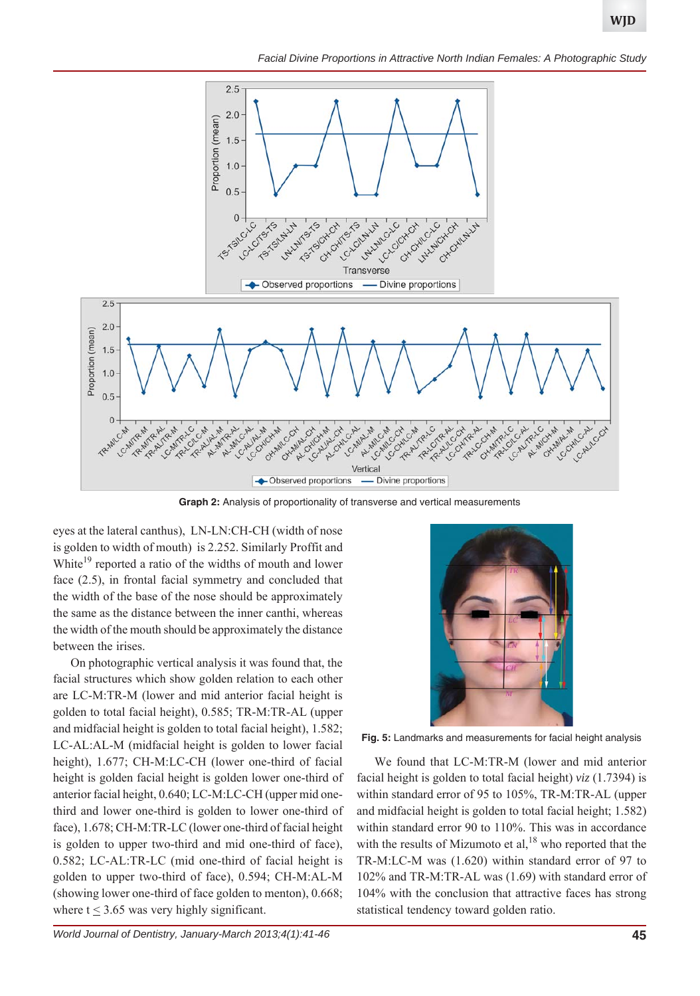*Facial Divine Proportions in Attractive North Indian Females: A Photographic Study*



**Graph 2:** Analysis of proportionality of transverse and vertical measurements

eyes at the lateral canthus), LN-LN:CH-CH (width of nose is golden to width of mouth) is 2.252. Similarly Proffit and White<sup>19</sup> reported a ratio of the widths of mouth and lower face (2.5), in frontal facial symmetry and concluded that the width of the base of the nose should be approximately the same as the distance between the inner canthi, whereas the width of the mouth should be approximately the distance between the irises.

On photographic vertical analysis it was found that, the facial structures which show golden relation to each other are LC-M:TR-M (lower and mid anterior facial height is golden to total facial height), 0.585; TR-M:TR-AL (upper and midfacial height is golden to total facial height), 1.582; LC-AL:AL-M (midfacial height is golden to lower facial height), 1.677; CH-M:LC-CH (lower one-third of facial height is golden facial height is golden lower one-third of anterior facial height, 0.640; LC-M:LC-CH (upper mid onethird and lower one-third is golden to lower one-third of face), 1.678; CH-M:TR-LC (lower one-third of facial height is golden to upper two-third and mid one-third of face), 0.582; LC-AL:TR-LC (mid one-third of facial height is golden to upper two-third of face), 0.594; CH-M:AL-M (showing lower one-third of face golden to menton), 0.668; where  $t < 3.65$  was very highly significant.



**Fig. 5:** Landmarks and measurements for facial height analysis

We found that LC-M:TR-M (lower and mid anterior facial height is golden to total facial height) *viz* (1.7394) is within standard error of 95 to 105%, TR-M:TR-AL (upper and midfacial height is golden to total facial height; 1.582) within standard error 90 to 110%. This was in accordance with the results of Mizumoto et al,  $18$  who reported that the TR-M:LC-M was (1.620) within standard error of 97 to 102% and TR-M:TR-AL was (1.69) with standard error of 104% with the conclusion that attractive faces has strong statistical tendency toward golden ratio.